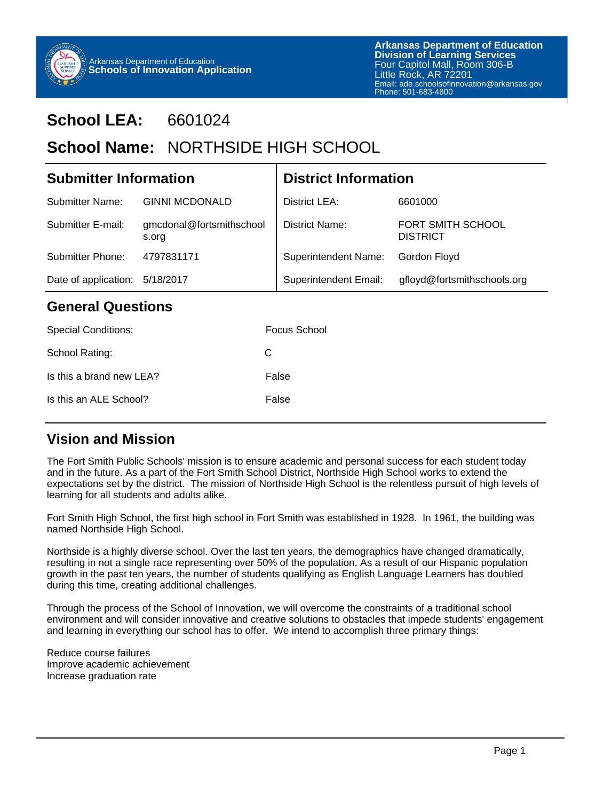

# **School LEA:** 6601024

# School Name: NORTHSIDE HIGH SCHOOL

| <b>Submitter Information</b>   |                                   | <b>District Information</b>  |                                      |  |
|--------------------------------|-----------------------------------|------------------------------|--------------------------------------|--|
| Submitter Name:                | <b>GINNI MCDONALD</b>             | District LEA:                | 6601000                              |  |
| Submitter E-mail:              | gmcdonal@fortsmithschool<br>s.org | District Name:               | FORT SMITH SCHOOL<br><b>DISTRICT</b> |  |
| Submitter Phone:               | 4797831171                        | <b>Superintendent Name:</b>  | Gordon Floyd                         |  |
| Date of application: 5/18/2017 |                                   | <b>Superintendent Email:</b> | gfloyd@fortsmithschools.org          |  |
| <b>General Questions</b>       |                                   |                              |                                      |  |

# **General Questions**

| <b>Special Conditions:</b> | <b>Focus School</b> |
|----------------------------|---------------------|
| School Rating:             | C.                  |
| Is this a brand new LEA?   | False               |
| Is this an ALE School?     | False               |
|                            |                     |

### **Vision and Mission**

The Fort Smith Public Schools' mission is to ensure academic and personal success for each student today and in the future. As a part of the Fort Smith School District, Northside High School works to extend the expectations set by the district. The mission of Northside High School is the relentless pursuit of high levels of learning for all students and adults alike.

Fort Smith High School, the first high school in Fort Smith was established in 1928. In 1961, the building was named Northside High School.

Northside is a highly diverse school. Over the last ten years, the demographics have changed dramatically, resulting in not a single race representing over 50% of the population. As a result of our Hispanic population growth in the past ten years, the number of students qualifying as English Language Learners has doubled during this time, creating additional challenges.

Through the process of the School of Innovation, we will overcome the constraints of a traditional school environment and will consider innovative and creative solutions to obstacles that impede students' engagement and learning in everything our school has to offer. We intend to accomplish three primary things:

Reduce course failures Improve academic achievement Increase graduation rate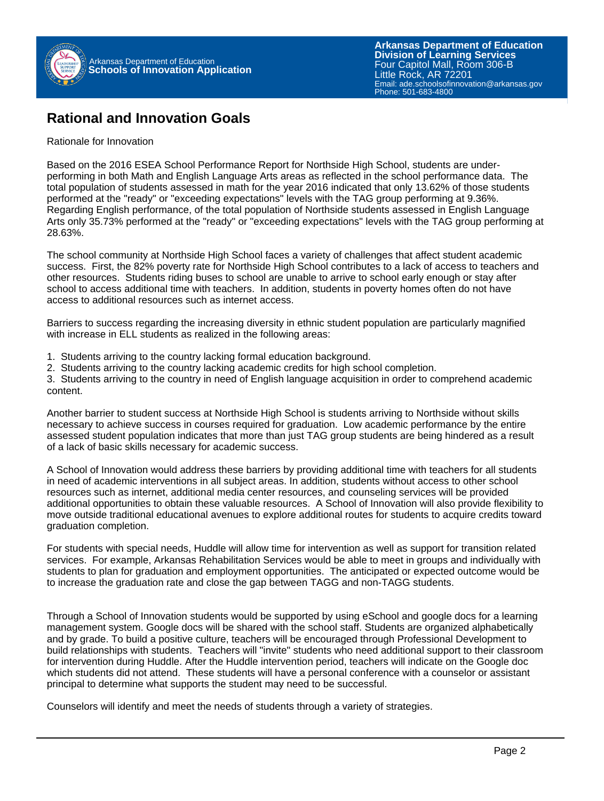

### **Rational and Innovation Goals**

#### Rationale for Innovation

Based on the 2016 ESEA School Performance Report for Northside High School, students are underperforming in both Math and English Language Arts areas as reflected in the school performance data. The total population of students assessed in math for the year 2016 indicated that only 13.62% of those students performed at the "ready" or "exceeding expectations" levels with the TAG group performing at 9.36%. Regarding English performance, of the total population of Northside students assessed in English Language Arts only 35.73% performed at the "ready" or "exceeding expectations" levels with the TAG group performing at 28.63%.

The school community at Northside High School faces a variety of challenges that affect student academic success. First, the 82% poverty rate for Northside High School contributes to a lack of access to teachers and other resources. Students riding buses to school are unable to arrive to school early enough or stay after school to access additional time with teachers. In addition, students in poverty homes often do not have access to additional resources such as internet access.

Barriers to success regarding the increasing diversity in ethnic student population are particularly magnified with increase in ELL students as realized in the following areas:

- 1. Students arriving to the country lacking formal education background.
- 2. Students arriving to the country lacking academic credits for high school completion.

3. Students arriving to the country in need of English language acquisition in order to comprehend academic content.

Another barrier to student success at Northside High School is students arriving to Northside without skills necessary to achieve success in courses required for graduation. Low academic performance by the entire assessed student population indicates that more than just TAG group students are being hindered as a result of a lack of basic skills necessary for academic success.

A School of Innovation would address these barriers by providing additional time with teachers for all students in need of academic interventions in all subject areas. In addition, students without access to other school resources such as internet, additional media center resources, and counseling services will be provided additional opportunities to obtain these valuable resources. A School of Innovation will also provide flexibility to move outside traditional educational avenues to explore additional routes for students to acquire credits toward graduation completion.

For students with special needs, Huddle will allow time for intervention as well as support for transition related services. For example, Arkansas Rehabilitation Services would be able to meet in groups and individually with students to plan for graduation and employment opportunities. The anticipated or expected outcome would be to increase the graduation rate and close the gap between TAGG and non-TAGG students.

Through a School of Innovation students would be supported by using eSchool and google docs for a learning management system. Google docs will be shared with the school staff. Students are organized alphabetically and by grade. To build a positive culture, teachers will be encouraged through Professional Development to build relationships with students. Teachers will "invite" students who need additional support to their classroom for intervention during Huddle. After the Huddle intervention period, teachers will indicate on the Google doc which students did not attend. These students will have a personal conference with a counselor or assistant principal to determine what supports the student may need to be successful.

Counselors will identify and meet the needs of students through a variety of strategies.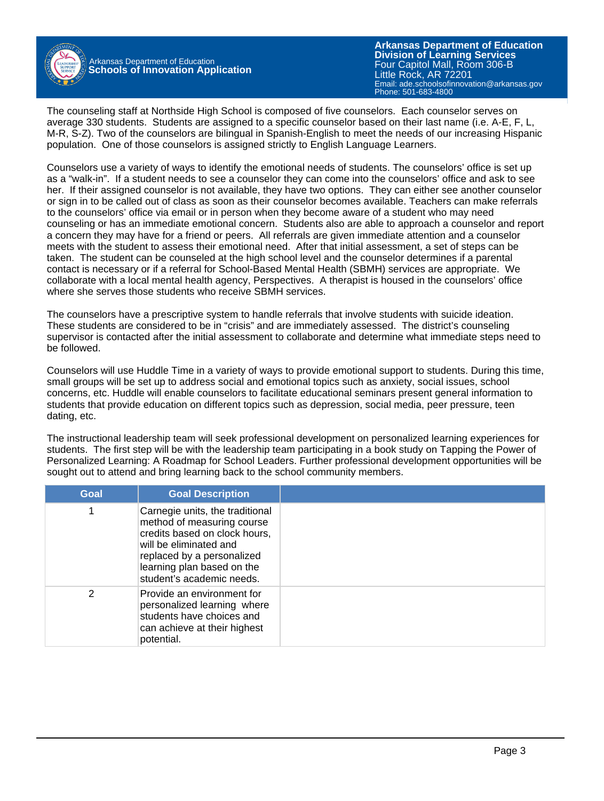

Arkansas Department of Education **Schools of Innovation Application**

**Arkansas Department of Education** Email: ade.schoolsofinnovation@arkansas.gov **Division of Learning Services** Four Capitol Mall, Room 306-B Little Rock, AR 72201 Phone: 501-683-4800

The counseling staff at Northside High School is composed of five counselors. Each counselor serves on average 330 students. Students are assigned to a specific counselor based on their last name (i.e. A-E, F, L, M-R, S-Z). Two of the counselors are bilingual in Spanish-English to meet the needs of our increasing Hispanic population. One of those counselors is assigned strictly to English Language Learners.

Counselors use a variety of ways to identify the emotional needs of students. The counselors' office is set up as a "walk-in". If a student needs to see a counselor they can come into the counselors' office and ask to see her. If their assigned counselor is not available, they have two options. They can either see another counselor or sign in to be called out of class as soon as their counselor becomes available. Teachers can make referrals to the counselors' office via email or in person when they become aware of a student who may need counseling or has an immediate emotional concern. Students also are able to approach a counselor and report a concern they may have for a friend or peers. All referrals are given immediate attention and a counselor meets with the student to assess their emotional need. After that initial assessment, a set of steps can be taken. The student can be counseled at the high school level and the counselor determines if a parental contact is necessary or if a referral for School-Based Mental Health (SBMH) services are appropriate. We collaborate with a local mental health agency, Perspectives. A therapist is housed in the counselors' office where she serves those students who receive SBMH services.

The counselors have a prescriptive system to handle referrals that involve students with suicide ideation. These students are considered to be in "crisis" and are immediately assessed. The district's counseling supervisor is contacted after the initial assessment to collaborate and determine what immediate steps need to be followed.

Counselors will use Huddle Time in a variety of ways to provide emotional support to students. During this time, small groups will be set up to address social and emotional topics such as anxiety, social issues, school concerns, etc. Huddle will enable counselors to facilitate educational seminars present general information to students that provide education on different topics such as depression, social media, peer pressure, teen dating, etc.

The instructional leadership team will seek professional development on personalized learning experiences for students. The first step will be with the leadership team participating in a book study on Tapping the Power of Personalized Learning: A Roadmap for School Leaders. Further professional development opportunities will be sought out to attend and bring learning back to the school community members.

| Goal | <b>Goal Description</b>                                                                                                                                                                                           |  |
|------|-------------------------------------------------------------------------------------------------------------------------------------------------------------------------------------------------------------------|--|
|      | Carnegie units, the traditional<br>method of measuring course<br>credits based on clock hours,<br>will be eliminated and<br>replaced by a personalized<br>learning plan based on the<br>student's academic needs. |  |
| 2    | Provide an environment for<br>personalized learning where<br>students have choices and<br>can achieve at their highest<br>potential.                                                                              |  |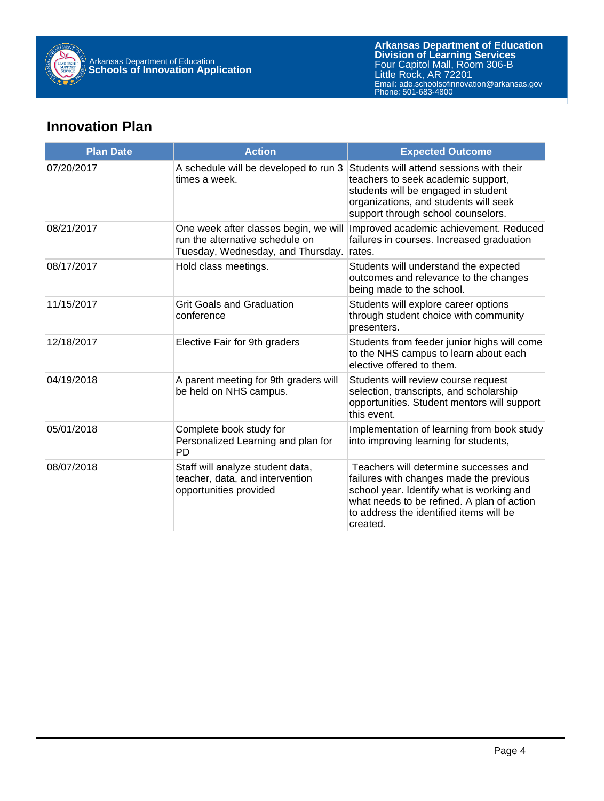

## **Innovation Plan**

| <b>Plan Date</b> | <b>Action</b>                                                                                                 | <b>Expected Outcome</b>                                                                                                                                                                                                            |
|------------------|---------------------------------------------------------------------------------------------------------------|------------------------------------------------------------------------------------------------------------------------------------------------------------------------------------------------------------------------------------|
| 07/20/2017       | A schedule will be developed to run 3<br>times a week.                                                        | Students will attend sessions with their<br>teachers to seek academic support,<br>students will be engaged in student<br>organizations, and students will seek<br>support through school counselors.                               |
| 08/21/2017       | One week after classes begin, we will<br>run the alternative schedule on<br>Tuesday, Wednesday, and Thursday. | Improved academic achievement. Reduced<br>failures in courses. Increased graduation<br>rates.                                                                                                                                      |
| 08/17/2017       | Hold class meetings.                                                                                          | Students will understand the expected<br>outcomes and relevance to the changes<br>being made to the school.                                                                                                                        |
| 11/15/2017       | <b>Grit Goals and Graduation</b><br>conference                                                                | Students will explore career options<br>through student choice with community<br>presenters.                                                                                                                                       |
| 12/18/2017       | Elective Fair for 9th graders                                                                                 | Students from feeder junior highs will come<br>to the NHS campus to learn about each<br>elective offered to them.                                                                                                                  |
| 04/19/2018       | A parent meeting for 9th graders will<br>be held on NHS campus.                                               | Students will review course request<br>selection, transcripts, and scholarship<br>opportunities. Student mentors will support<br>this event.                                                                                       |
| 05/01/2018       | Complete book study for<br>Personalized Learning and plan for<br><b>PD</b>                                    | Implementation of learning from book study<br>into improving learning for students,                                                                                                                                                |
| 08/07/2018       | Staff will analyze student data,<br>teacher, data, and intervention<br>opportunities provided                 | Teachers will determine successes and<br>failures with changes made the previous<br>school year. Identify what is working and<br>what needs to be refined. A plan of action<br>to address the identified items will be<br>created. |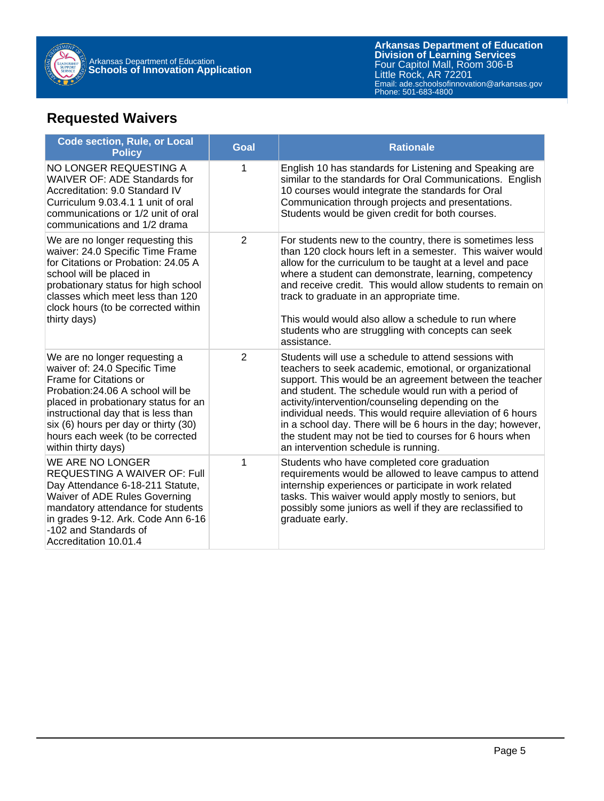

# **Requested Waivers**

| <b>Code section, Rule, or Local</b><br><b>Policy</b>                                                                                                                                                                                                                                                            | <b>Goal</b> | <b>Rationale</b>                                                                                                                                                                                                                                                                                                                                                                                                                                                                                                         |
|-----------------------------------------------------------------------------------------------------------------------------------------------------------------------------------------------------------------------------------------------------------------------------------------------------------------|-------------|--------------------------------------------------------------------------------------------------------------------------------------------------------------------------------------------------------------------------------------------------------------------------------------------------------------------------------------------------------------------------------------------------------------------------------------------------------------------------------------------------------------------------|
| NO LONGER REQUESTING A<br>WAIVER OF: ADE Standards for<br>Accreditation: 9.0 Standard IV<br>Curriculum 9.03.4.1 1 unit of oral<br>communications or 1/2 unit of oral<br>communications and 1/2 drama                                                                                                            | 1           | English 10 has standards for Listening and Speaking are<br>similar to the standards for Oral Communications. English<br>10 courses would integrate the standards for Oral<br>Communication through projects and presentations.<br>Students would be given credit for both courses.                                                                                                                                                                                                                                       |
| We are no longer requesting this<br>waiver: 24.0 Specific Time Frame<br>for Citations or Probation: 24.05 A<br>school will be placed in<br>probationary status for high school<br>classes which meet less than 120<br>clock hours (to be corrected within<br>thirty days)                                       | 2           | For students new to the country, there is sometimes less<br>than 120 clock hours left in a semester. This waiver would<br>allow for the curriculum to be taught at a level and pace<br>where a student can demonstrate, learning, competency<br>and receive credit. This would allow students to remain on<br>track to graduate in an appropriate time.<br>This would would also allow a schedule to run where<br>students who are struggling with concepts can seek<br>assistance.                                      |
| We are no longer requesting a<br>waiver of: 24.0 Specific Time<br>Frame for Citations or<br>Probation: 24.06 A school will be<br>placed in probationary status for an<br>instructional day that is less than<br>six (6) hours per day or thirty (30)<br>hours each week (to be corrected<br>within thirty days) | 2           | Students will use a schedule to attend sessions with<br>teachers to seek academic, emotional, or organizational<br>support. This would be an agreement between the teacher<br>and student. The schedule would run with a period of<br>activity/intervention/counseling depending on the<br>individual needs. This would require alleviation of 6 hours<br>in a school day. There will be 6 hours in the day; however,<br>the student may not be tied to courses for 6 hours when<br>an intervention schedule is running. |
| WE ARE NO LONGER<br>REQUESTING A WAIVER OF: Full<br>Day Attendance 6-18-211 Statute,<br>Waiver of ADE Rules Governing<br>mandatory attendance for students<br>in grades 9-12. Ark. Code Ann 6-16<br>-102 and Standards of<br>Accreditation 10.01.4                                                              | 1           | Students who have completed core graduation<br>requirements would be allowed to leave campus to attend<br>internship experiences or participate in work related<br>tasks. This waiver would apply mostly to seniors, but<br>possibly some juniors as well if they are reclassified to<br>graduate early.                                                                                                                                                                                                                 |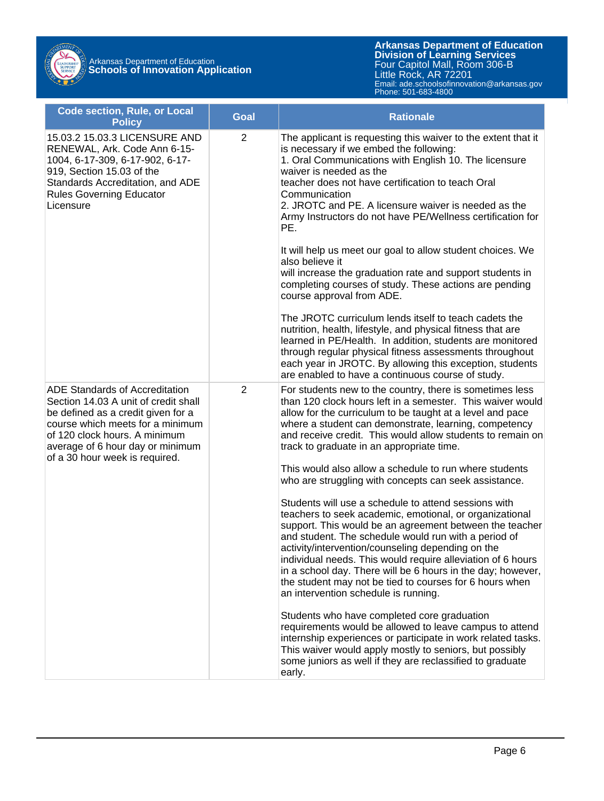# Arkansas Department of Education **Schools of Innovation Application**

**Arkansas Department of Education** Email: ade.schoolsofinnovation@arkansas.gov **Division of Learning Services** Four Capitol Mall, Room 306-B Little Rock, AR 72201 Phone: 501-683-4800

| <b>Code section, Rule, or Local</b><br><b>Policy</b>                                                                                                                                                                                                           | Goal           | <b>Rationale</b>                                                                                                                                                                                                                                                                                                                                                                                                                                                                                                                                                                                                                                                                                                                                                                                                          |
|----------------------------------------------------------------------------------------------------------------------------------------------------------------------------------------------------------------------------------------------------------------|----------------|---------------------------------------------------------------------------------------------------------------------------------------------------------------------------------------------------------------------------------------------------------------------------------------------------------------------------------------------------------------------------------------------------------------------------------------------------------------------------------------------------------------------------------------------------------------------------------------------------------------------------------------------------------------------------------------------------------------------------------------------------------------------------------------------------------------------------|
| 15.03.2 15.03.3 LICENSURE AND<br>RENEWAL, Ark. Code Ann 6-15-<br>1004, 6-17-309, 6-17-902, 6-17-<br>919, Section 15.03 of the<br>Standards Accreditation, and ADE<br><b>Rules Governing Educator</b><br>Licensure                                              | $\overline{2}$ | The applicant is requesting this waiver to the extent that it<br>is necessary if we embed the following:<br>1. Oral Communications with English 10. The licensure<br>waiver is needed as the<br>teacher does not have certification to teach Oral<br>Communication<br>2. JROTC and PE. A licensure waiver is needed as the<br>Army Instructors do not have PE/Wellness certification for<br>PE.<br>It will help us meet our goal to allow student choices. We<br>also believe it<br>will increase the graduation rate and support students in<br>completing courses of study. These actions are pending<br>course approval from ADE.<br>The JROTC curriculum lends itself to teach cadets the<br>nutrition, health, lifestyle, and physical fitness that are<br>learned in PE/Health. In addition, students are monitored |
|                                                                                                                                                                                                                                                                |                | through regular physical fitness assessments throughout<br>each year in JROTC. By allowing this exception, students<br>are enabled to have a continuous course of study.                                                                                                                                                                                                                                                                                                                                                                                                                                                                                                                                                                                                                                                  |
| <b>ADE Standards of Accreditation</b><br>Section 14.03 A unit of credit shall<br>be defined as a credit given for a<br>course which meets for a minimum<br>of 120 clock hours. A minimum<br>average of 6 hour day or minimum<br>of a 30 hour week is required. | $\overline{2}$ | For students new to the country, there is sometimes less<br>than 120 clock hours left in a semester. This waiver would<br>allow for the curriculum to be taught at a level and pace<br>where a student can demonstrate, learning, competency<br>and receive credit. This would allow students to remain on<br>track to graduate in an appropriate time.                                                                                                                                                                                                                                                                                                                                                                                                                                                                   |
|                                                                                                                                                                                                                                                                |                | This would also allow a schedule to run where students<br>who are struggling with concepts can seek assistance.                                                                                                                                                                                                                                                                                                                                                                                                                                                                                                                                                                                                                                                                                                           |
|                                                                                                                                                                                                                                                                |                | Students will use a schedule to attend sessions with<br>teachers to seek academic, emotional, or organizational<br>support. This would be an agreement between the teacher<br>and student. The schedule would run with a period of<br>activity/intervention/counseling depending on the<br>individual needs. This would require alleviation of 6 hours<br>in a school day. There will be 6 hours in the day; however,<br>the student may not be tied to courses for 6 hours when<br>an intervention schedule is running.                                                                                                                                                                                                                                                                                                  |
|                                                                                                                                                                                                                                                                |                | Students who have completed core graduation<br>requirements would be allowed to leave campus to attend<br>internship experiences or participate in work related tasks.<br>This waiver would apply mostly to seniors, but possibly<br>some juniors as well if they are reclassified to graduate<br>early.                                                                                                                                                                                                                                                                                                                                                                                                                                                                                                                  |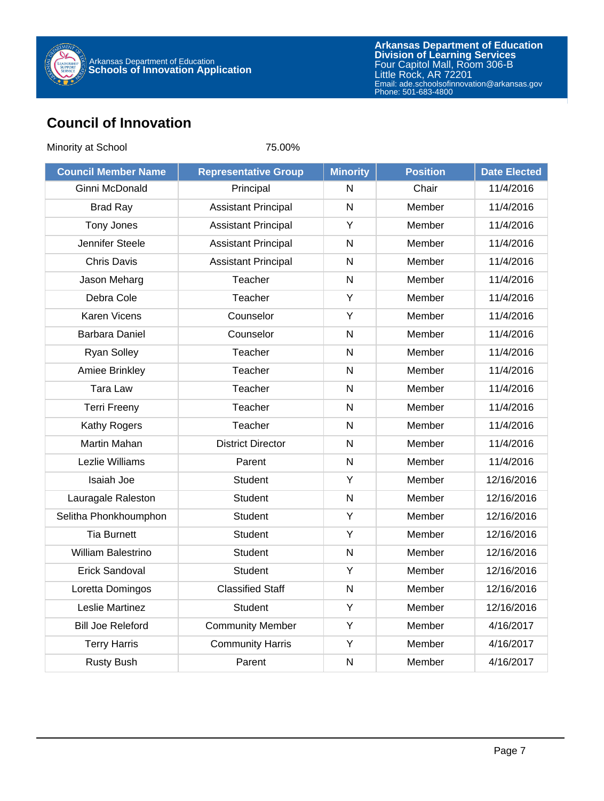

# **Council of Innovation**

| Minority at School         | 75.00%                      |                 |                 |                     |
|----------------------------|-----------------------------|-----------------|-----------------|---------------------|
| <b>Council Member Name</b> | <b>Representative Group</b> | <b>Minority</b> | <b>Position</b> | <b>Date Elected</b> |
| Ginni McDonald             | Principal                   | $\mathsf{N}$    | Chair           | 11/4/2016           |
| <b>Brad Ray</b>            | <b>Assistant Principal</b>  | $\mathsf{N}$    | Member          | 11/4/2016           |
| Tony Jones                 | <b>Assistant Principal</b>  | Y               | Member          | 11/4/2016           |
| Jennifer Steele            | <b>Assistant Principal</b>  | ${\sf N}$       | Member          | 11/4/2016           |
| <b>Chris Davis</b>         | <b>Assistant Principal</b>  | $\mathsf{N}$    | Member          | 11/4/2016           |
| Jason Meharg               | Teacher                     | $\mathsf{N}$    | Member          | 11/4/2016           |
| Debra Cole                 | Teacher                     | Y               | Member          | 11/4/2016           |
| <b>Karen Vicens</b>        | Counselor                   | Υ               | Member          | 11/4/2016           |
| <b>Barbara Daniel</b>      | Counselor                   | ${\sf N}$       | Member          | 11/4/2016           |
| <b>Ryan Solley</b>         | Teacher                     | ${\sf N}$       | Member          | 11/4/2016           |
| Amiee Brinkley             | Teacher                     | $\mathsf{N}$    | Member          | 11/4/2016           |
| <b>Tara Law</b>            | Teacher                     | $\mathsf{N}$    | Member          | 11/4/2016           |
| <b>Terri Freeny</b>        | Teacher                     | $\mathsf{N}$    | Member          | 11/4/2016           |
| Kathy Rogers               | Teacher                     | $\mathsf{N}$    | Member          | 11/4/2016           |
| Martin Mahan               | <b>District Director</b>    | $\mathsf{N}$    | Member          | 11/4/2016           |
| Lezlie Williams            | Parent                      | $\mathsf{N}$    | Member          | 11/4/2016           |
| Isaiah Joe                 | <b>Student</b>              | Y               | Member          | 12/16/2016          |
| Lauragale Raleston         | <b>Student</b>              | $\mathsf{N}$    | Member          | 12/16/2016          |
| Selitha Phonkhoumphon      | <b>Student</b>              | Y               | Member          | 12/16/2016          |
| <b>Tia Burnett</b>         | <b>Student</b>              | Y               | Member          | 12/16/2016          |
| William Balestrino         | <b>Student</b>              | ${\sf N}$       | Member          | 12/16/2016          |
| <b>Erick Sandoval</b>      | <b>Student</b>              | Υ               | Member          | 12/16/2016          |
| Loretta Domingos           | <b>Classified Staff</b>     | N               | Member          | 12/16/2016          |
| Leslie Martinez            | Student                     | Y               | Member          | 12/16/2016          |
| <b>Bill Joe Releford</b>   | <b>Community Member</b>     | Y               | Member          | 4/16/2017           |
| <b>Terry Harris</b>        | <b>Community Harris</b>     | Y               | Member          | 4/16/2017           |
| <b>Rusty Bush</b>          | Parent                      | ${\sf N}$       | Member          | 4/16/2017           |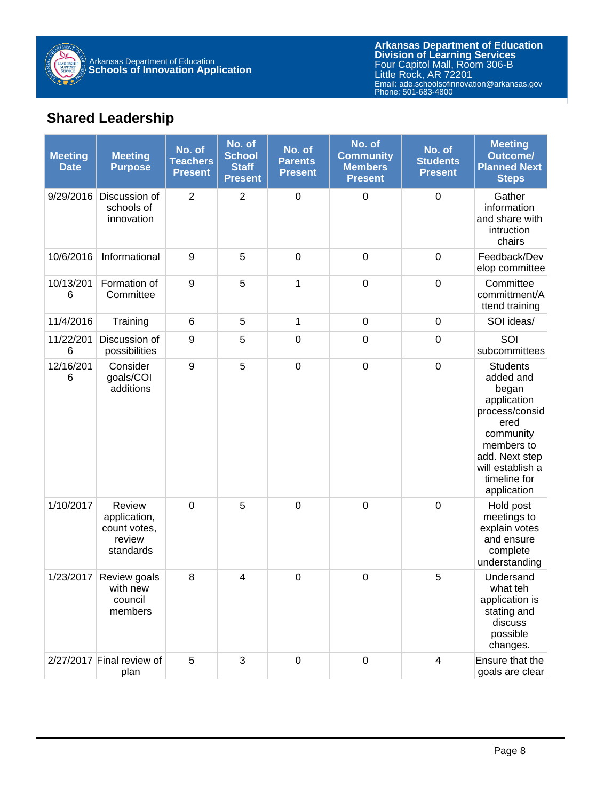

# **Shared Leadership**

| <b>Meeting</b><br><b>Date</b> | <b>Meeting</b><br><b>Purpose</b>                              | No. of<br><b>Teachers</b><br><b>Present</b> | No. of<br><b>School</b><br><b>Staff</b><br><b>Present</b> | No. of<br><b>Parents</b><br><b>Present</b> | No. of<br><b>Community</b><br><b>Members</b><br><b>Present</b> | No. of<br><b>Students</b><br><b>Present</b> | <b>Meeting</b><br><b>Outcome/</b><br><b>Planned Next</b><br><b>Steps</b>                                                                                                       |
|-------------------------------|---------------------------------------------------------------|---------------------------------------------|-----------------------------------------------------------|--------------------------------------------|----------------------------------------------------------------|---------------------------------------------|--------------------------------------------------------------------------------------------------------------------------------------------------------------------------------|
| 9/29/2016                     | Discussion of<br>schools of<br>innovation                     | $\overline{2}$                              | $\overline{2}$                                            | $\boldsymbol{0}$                           | $\boldsymbol{0}$                                               | $\mathbf 0$                                 | Gather<br>information<br>and share with<br>intruction<br>chairs                                                                                                                |
| 10/6/2016                     | Informational                                                 | 9                                           | 5                                                         | $\boldsymbol{0}$                           | $\boldsymbol{0}$                                               | $\mathbf 0$                                 | Feedback/Dev<br>elop committee                                                                                                                                                 |
| 10/13/201<br>6                | Formation of<br>Committee                                     | $\boldsymbol{9}$                            | 5                                                         | 1                                          | $\pmb{0}$                                                      | $\mathbf 0$                                 | Committee<br>committment/A<br>ttend training                                                                                                                                   |
| 11/4/2016                     | Training                                                      | $\,6$                                       | 5                                                         | 1                                          | $\mathbf 0$                                                    | $\mathbf 0$                                 | SOI ideas/                                                                                                                                                                     |
| 11/22/201<br>6                | Discussion of<br>possibilities                                | 9                                           | 5                                                         | $\boldsymbol{0}$                           | $\boldsymbol{0}$                                               | $\mathbf 0$                                 | SOI<br>subcommittees                                                                                                                                                           |
| 12/16/201<br>6                | Consider<br>goals/COI<br>additions                            | 9                                           | 5                                                         | $\boldsymbol{0}$                           | $\boldsymbol{0}$                                               | $\mathbf 0$                                 | <b>Students</b><br>added and<br>began<br>application<br>process/consid<br>ered<br>community<br>members to<br>add. Next step<br>will establish a<br>timeline for<br>application |
| 1/10/2017                     | Review<br>application,<br>count votes,<br>review<br>standards | $\mathbf 0$                                 | 5                                                         | $\mathbf 0$                                | $\boldsymbol{0}$                                               | $\overline{0}$                              | Hold post<br>meetings to<br>explain votes<br>and ensure<br>complete<br>understanding                                                                                           |
| 1/23/2017                     | Review goals<br>with new<br>council<br>members                | 8                                           | 4                                                         | $\mathbf 0$                                | $\mathbf 0$                                                    | 5                                           | Undersand<br>what teh<br>application is<br>stating and<br>discuss<br>possible<br>changes.                                                                                      |
|                               | $2/27/2017$ Final review of<br>plan                           | 5                                           | 3                                                         | $\pmb{0}$                                  | $\pmb{0}$                                                      | $\overline{\mathbf{4}}$                     | Ensure that the<br>goals are clear                                                                                                                                             |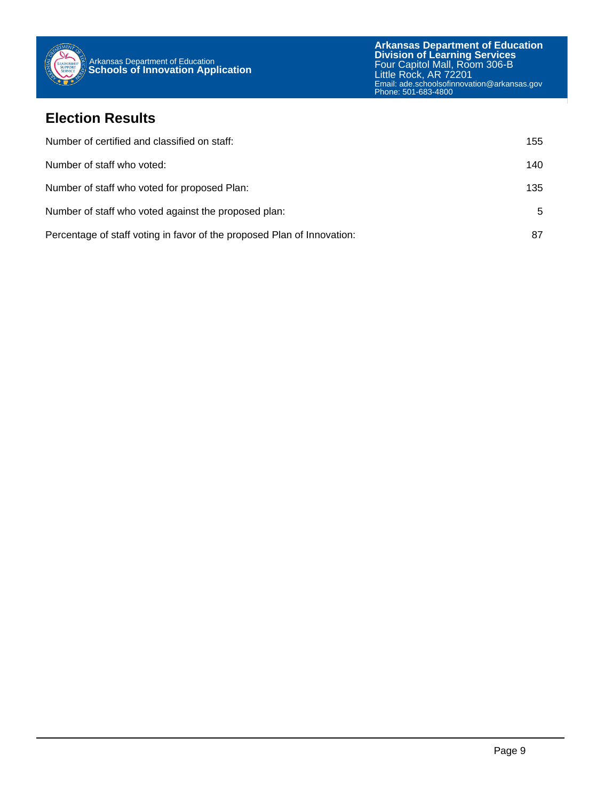

#### **Election Results**

| Number of certified and classified on staff:                            | 155 |
|-------------------------------------------------------------------------|-----|
| Number of staff who voted:                                              | 140 |
| Number of staff who voted for proposed Plan:                            | 135 |
| Number of staff who voted against the proposed plan:                    | 5   |
| Percentage of staff voting in favor of the proposed Plan of Innovation: | 87  |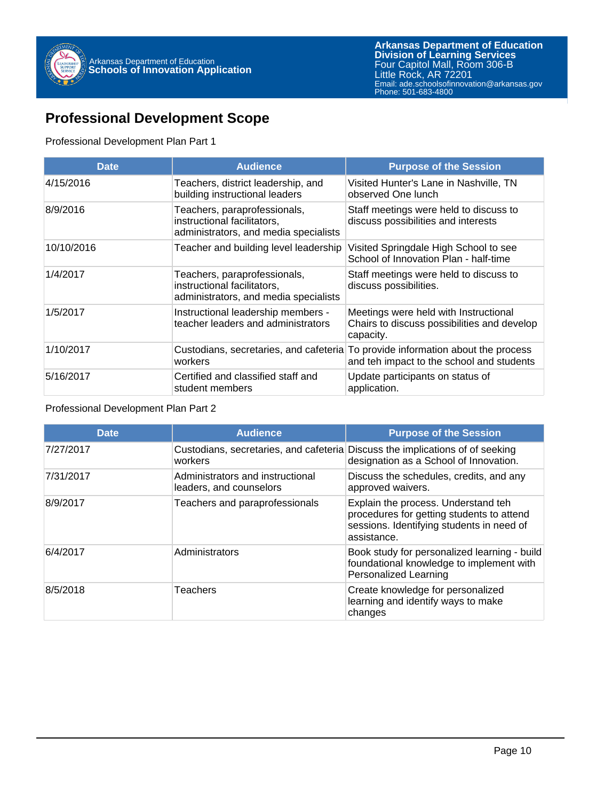

### **Professional Development Scope**

#### Professional Development Plan Part 1

| <b>Date</b> | <b>Audience</b>                                                                                      | <b>Purpose of the Session</b>                                                                                                |
|-------------|------------------------------------------------------------------------------------------------------|------------------------------------------------------------------------------------------------------------------------------|
| 4/15/2016   | Teachers, district leadership, and<br>building instructional leaders                                 | Visited Hunter's Lane in Nashville, TN<br>observed One lunch                                                                 |
| 8/9/2016    | Teachers, paraprofessionals,<br>instructional facilitators.<br>administrators, and media specialists | Staff meetings were held to discuss to<br>discuss possibilities and interests                                                |
| 10/10/2016  | Teacher and building level leadership                                                                | Visited Springdale High School to see<br>School of Innovation Plan - half-time                                               |
| 1/4/2017    | Teachers, paraprofessionals,<br>instructional facilitators,<br>administrators, and media specialists | Staff meetings were held to discuss to<br>discuss possibilities.                                                             |
| 1/5/2017    | Instructional leadership members -<br>teacher leaders and administrators                             | Meetings were held with Instructional<br>Chairs to discuss possibilities and develop<br>capacity.                            |
| 1/10/2017   | workers                                                                                              | Custodians, secretaries, and cafeteria To provide information about the process<br>and teh impact to the school and students |
| 5/16/2017   | Certified and classified staff and<br>student members                                                | Update participants on status of<br>application.                                                                             |

#### Professional Development Plan Part 2

| <b>Date</b> | <b>Audience</b>                                                                          | <b>Purpose of the Session</b>                                                                                                                |
|-------------|------------------------------------------------------------------------------------------|----------------------------------------------------------------------------------------------------------------------------------------------|
| 7/27/2017   | Custodians, secretaries, and cafeteria Discuss the implications of of seeking<br>workers | designation as a School of Innovation.                                                                                                       |
| 7/31/2017   | Administrators and instructional<br>leaders, and counselors                              | Discuss the schedules, credits, and any<br>approved waivers.                                                                                 |
| 8/9/2017    | Teachers and paraprofessionals                                                           | Explain the process. Understand teh<br>procedures for getting students to attend<br>sessions. Identifying students in need of<br>assistance. |
| 6/4/2017    | Administrators                                                                           | Book study for personalized learning - build<br>foundational knowledge to implement with<br><b>Personalized Learning</b>                     |
| 8/5/2018    | Teachers                                                                                 | Create knowledge for personalized<br>learning and identify ways to make<br>changes                                                           |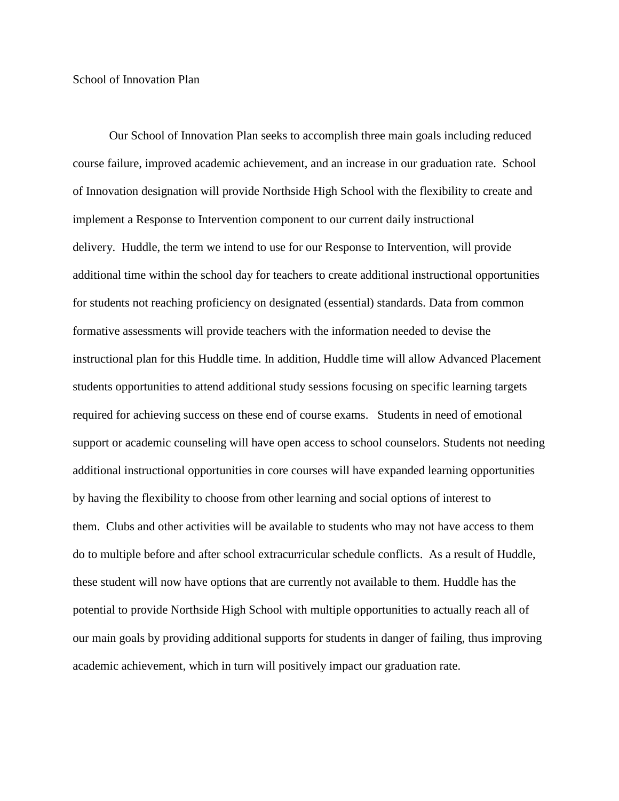#### School of Innovation Plan

Our School of Innovation Plan seeks to accomplish three main goals including reduced course failure, improved academic achievement, and an increase in our graduation rate. School of Innovation designation will provide Northside High School with the flexibility to create and implement a Response to Intervention component to our current daily instructional delivery. Huddle, the term we intend to use for our Response to Intervention, will provide additional time within the school day for teachers to create additional instructional opportunities for students not reaching proficiency on designated (essential) standards. Data from common formative assessments will provide teachers with the information needed to devise the instructional plan for this Huddle time. In addition, Huddle time will allow Advanced Placement students opportunities to attend additional study sessions focusing on specific learning targets required for achieving success on these end of course exams. Students in need of emotional support or academic counseling will have open access to school counselors. Students not needing additional instructional opportunities in core courses will have expanded learning opportunities by having the flexibility to choose from other learning and social options of interest to them. Clubs and other activities will be available to students who may not have access to them do to multiple before and after school extracurricular schedule conflicts. As a result of Huddle, these student will now have options that are currently not available to them. Huddle has the potential to provide Northside High School with multiple opportunities to actually reach all of our main goals by providing additional supports for students in danger of failing, thus improving academic achievement, which in turn will positively impact our graduation rate.